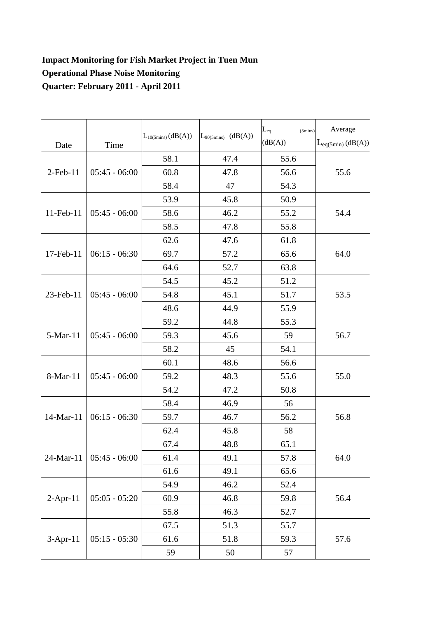## **Impact Monitoring for Fish Market Project in Tuen Mun Operational Phase Noise Monitoring Quarter: February 2011 - April 2011**

| Date           | Time            | $L_{10(5 mins)}(dB(A))$ | (dB(A))<br>$L_{90(5\text{mins})}$ | $L_{eq}$<br>$(5 \text{mins})$<br>(dB(A)) | Average<br>$L_{eq(5min)}(dB(A))$ |
|----------------|-----------------|-------------------------|-----------------------------------|------------------------------------------|----------------------------------|
| $2$ -Feb- $11$ | $05:45 - 06:00$ | 58.1                    | 47.4                              | 55.6                                     | 55.6                             |
|                |                 | 60.8                    | 47.8                              | 56.6                                     |                                  |
|                |                 | 58.4                    | 47                                | 54.3                                     |                                  |
| 11-Feb-11      | $05:45 - 06:00$ | 53.9                    | 45.8                              | 50.9                                     | 54.4                             |
|                |                 | 58.6                    | 46.2                              | 55.2                                     |                                  |
|                |                 | 58.5                    | 47.8                              | 55.8                                     |                                  |
| 17-Feb-11      | $06:15 - 06:30$ | 62.6                    | 47.6                              | 61.8                                     | 64.0                             |
|                |                 | 69.7                    | 57.2                              | 65.6                                     |                                  |
|                |                 | 64.6                    | 52.7                              | 63.8                                     |                                  |
| 23-Feb-11      | $05:45 - 06:00$ | 54.5                    | 45.2                              | 51.2                                     | 53.5                             |
|                |                 | 54.8                    | 45.1                              | 51.7                                     |                                  |
|                |                 | 48.6                    | 44.9                              | 55.9                                     |                                  |
| 5-Mar-11       | $05:45 - 06:00$ | 59.2                    | 44.8                              | 55.3                                     | 56.7                             |
|                |                 | 59.3                    | 45.6                              | 59                                       |                                  |
|                |                 | 58.2                    | 45                                | 54.1                                     |                                  |
| 8-Mar-11       | $05:45 - 06:00$ | 60.1                    | 48.6                              | 56.6                                     | 55.0                             |
|                |                 | 59.2                    | 48.3                              | 55.6                                     |                                  |
|                |                 | 54.2                    | 47.2                              | 50.8                                     |                                  |
| 14-Mar-11      | $06:15 - 06:30$ | 58.4                    | 46.9                              | 56                                       | 56.8                             |
|                |                 | 59.7                    | 46.7                              | 56.2                                     |                                  |
|                |                 | 62.4                    | 45.8                              | 58                                       |                                  |
| 24-Mar-11      | $05:45 - 06:00$ | 67.4                    | 48.8                              | 65.1                                     | 64.0                             |
|                |                 | 61.4                    | 49.1                              | 57.8                                     |                                  |
|                |                 | 61.6                    | 49.1                              | 65.6                                     |                                  |
| $2$ -Apr-11    | $05:05 - 05:20$ | 54.9                    | 46.2                              | 52.4                                     | 56.4                             |
|                |                 | 60.9                    | 46.8                              | 59.8                                     |                                  |
|                |                 | 55.8                    | 46.3                              | 52.7                                     |                                  |
| 3-Apr-11       | $05:15 - 05:30$ | 67.5                    | 51.3                              | 55.7                                     | 57.6                             |
|                |                 | 61.6                    | 51.8                              | 59.3                                     |                                  |
|                |                 | 59                      | 50                                | 57                                       |                                  |